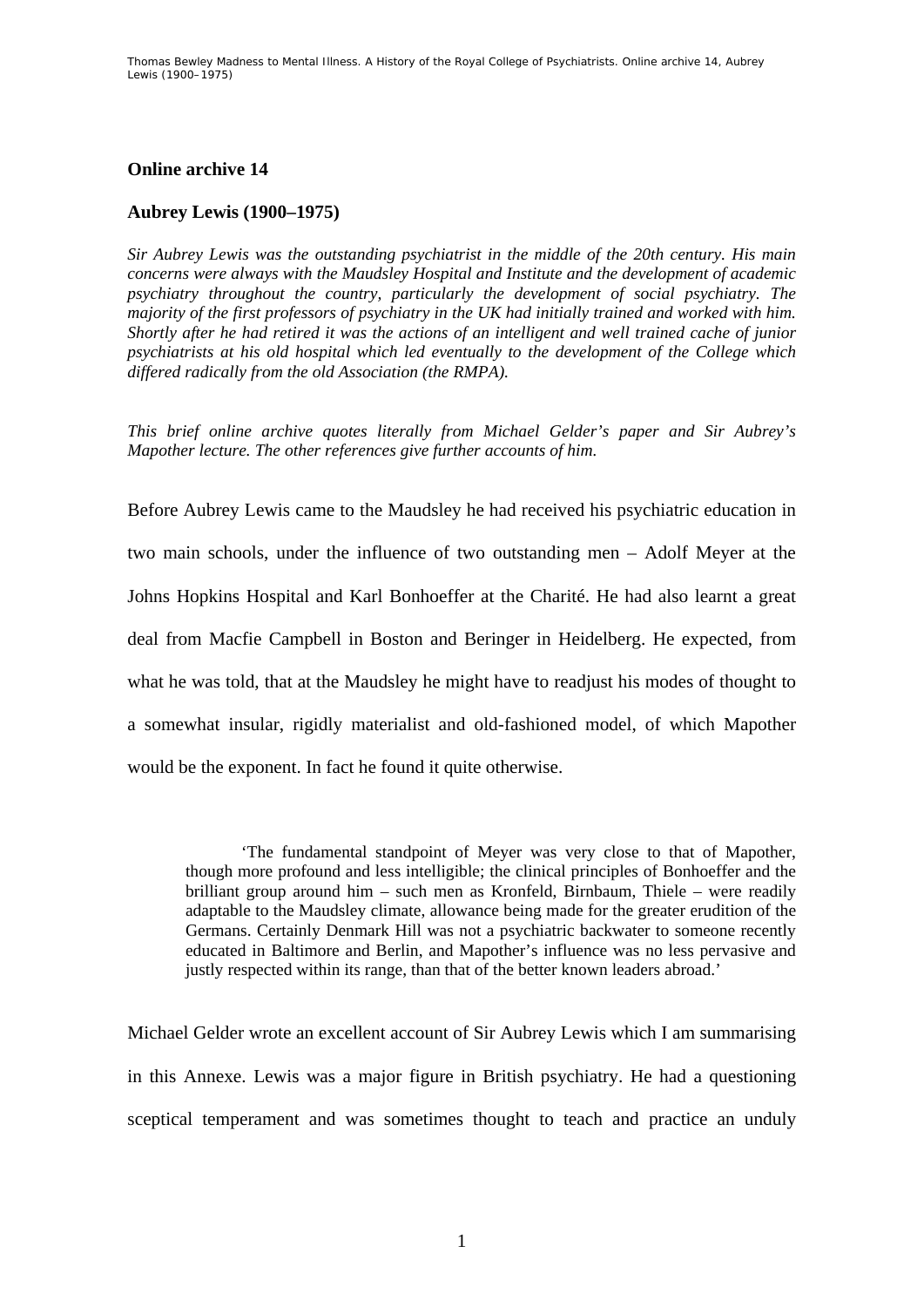## **Online archive 14**

## **Aubrey Lewis (1900–1975)**

*Sir Aubrey Lewis was the outstanding psychiatrist in the middle of the 20th century. His main concerns were always with the Maudsley Hospital and Institute and the development of academic psychiatry throughout the country, particularly the development of social psychiatry. The majority of the first professors of psychiatry in the UK had initially trained and worked with him. Shortly after he had retired it was the actions of an intelligent and well trained cache of junior psychiatrists at his old hospital which led eventually to the development of the College which differed radically from the old Association (the RMPA).* 

*This brief online archive quotes literally from Michael Gelder's paper and Sir Aubrey's Mapother lecture. The other references give further accounts of him.* 

Before Aubrey Lewis came to the Maudsley he had received his psychiatric education in two main schools, under the influence of two outstanding men – Adolf Meyer at the Johns Hopkins Hospital and Karl Bonhoeffer at the Charité. He had also learnt a great deal from Macfie Campbell in Boston and Beringer in Heidelberg. He expected, from what he was told, that at the Maudsley he might have to readjust his modes of thought to a somewhat insular, rigidly materialist and old-fashioned model, of which Mapother would be the exponent. In fact he found it quite otherwise.

'The fundamental standpoint of Meyer was very close to that of Mapother, though more profound and less intelligible; the clinical principles of Bonhoeffer and the brilliant group around him – such men as Kronfeld, Birnbaum, Thiele – were readily adaptable to the Maudsley climate, allowance being made for the greater erudition of the Germans. Certainly Denmark Hill was not a psychiatric backwater to someone recently educated in Baltimore and Berlin, and Mapother's influence was no less pervasive and justly respected within its range, than that of the better known leaders abroad.'

Michael Gelder wrote an excellent account of Sir Aubrey Lewis which I am summarising in this Annexe. Lewis was a major figure in British psychiatry. He had a questioning sceptical temperament and was sometimes thought to teach and practice an unduly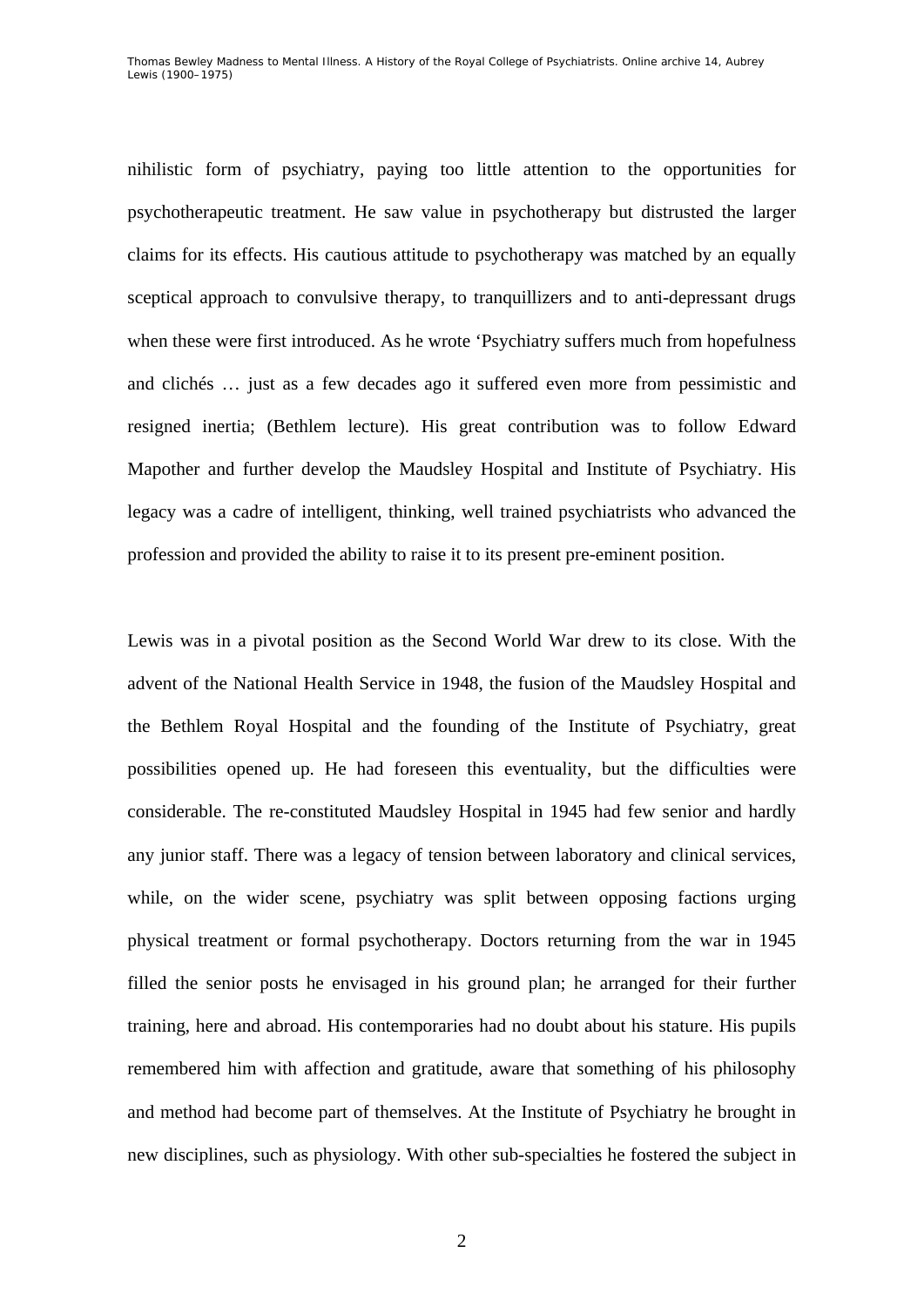nihilistic form of psychiatry, paying too little attention to the opportunities for psychotherapeutic treatment. He saw value in psychotherapy but distrusted the larger claims for its effects. His cautious attitude to psychotherapy was matched by an equally sceptical approach to convulsive therapy, to tranquillizers and to anti-depressant drugs when these were first introduced. As he wrote 'Psychiatry suffers much from hopefulness and clichés … just as a few decades ago it suffered even more from pessimistic and resigned inertia; (Bethlem lecture). His great contribution was to follow Edward Mapother and further develop the Maudsley Hospital and Institute of Psychiatry. His legacy was a cadre of intelligent, thinking, well trained psychiatrists who advanced the profession and provided the ability to raise it to its present pre-eminent position.

Lewis was in a pivotal position as the Second World War drew to its close. With the advent of the National Health Service in 1948, the fusion of the Maudsley Hospital and the Bethlem Royal Hospital and the founding of the Institute of Psychiatry, great possibilities opened up. He had foreseen this eventuality, but the difficulties were considerable. The re-constituted Maudsley Hospital in 1945 had few senior and hardly any junior staff. There was a legacy of tension between laboratory and clinical services, while, on the wider scene, psychiatry was split between opposing factions urging physical treatment or formal psychotherapy. Doctors returning from the war in 1945 filled the senior posts he envisaged in his ground plan; he arranged for their further training, here and abroad. His contemporaries had no doubt about his stature. His pupils remembered him with affection and gratitude, aware that something of his philosophy and method had become part of themselves. At the Institute of Psychiatry he brought in new disciplines, such as physiology. With other sub-specialties he fostered the subject in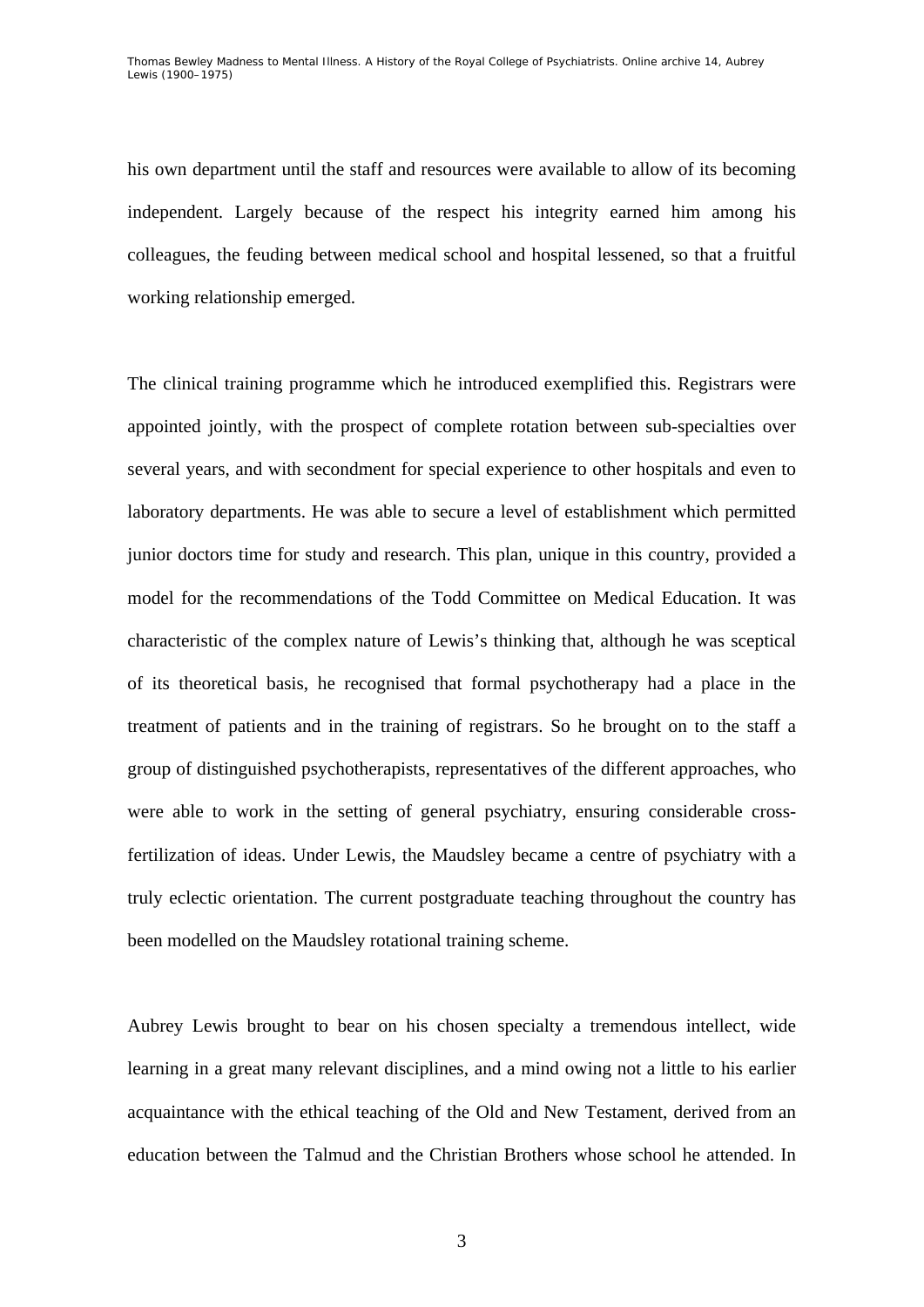his own department until the staff and resources were available to allow of its becoming independent. Largely because of the respect his integrity earned him among his colleagues, the feuding between medical school and hospital lessened, so that a fruitful working relationship emerged.

The clinical training programme which he introduced exemplified this. Registrars were appointed jointly, with the prospect of complete rotation between sub-specialties over several years, and with secondment for special experience to other hospitals and even to laboratory departments. He was able to secure a level of establishment which permitted junior doctors time for study and research. This plan, unique in this country, provided a model for the recommendations of the Todd Committee on Medical Education. It was characteristic of the complex nature of Lewis's thinking that, although he was sceptical of its theoretical basis, he recognised that formal psychotherapy had a place in the treatment of patients and in the training of registrars. So he brought on to the staff a group of distinguished psychotherapists, representatives of the different approaches, who were able to work in the setting of general psychiatry, ensuring considerable crossfertilization of ideas. Under Lewis, the Maudsley became a centre of psychiatry with a truly eclectic orientation. The current postgraduate teaching throughout the country has been modelled on the Maudsley rotational training scheme.

Aubrey Lewis brought to bear on his chosen specialty a tremendous intellect, wide learning in a great many relevant disciplines, and a mind owing not a little to his earlier acquaintance with the ethical teaching of the Old and New Testament, derived from an education between the Talmud and the Christian Brothers whose school he attended. In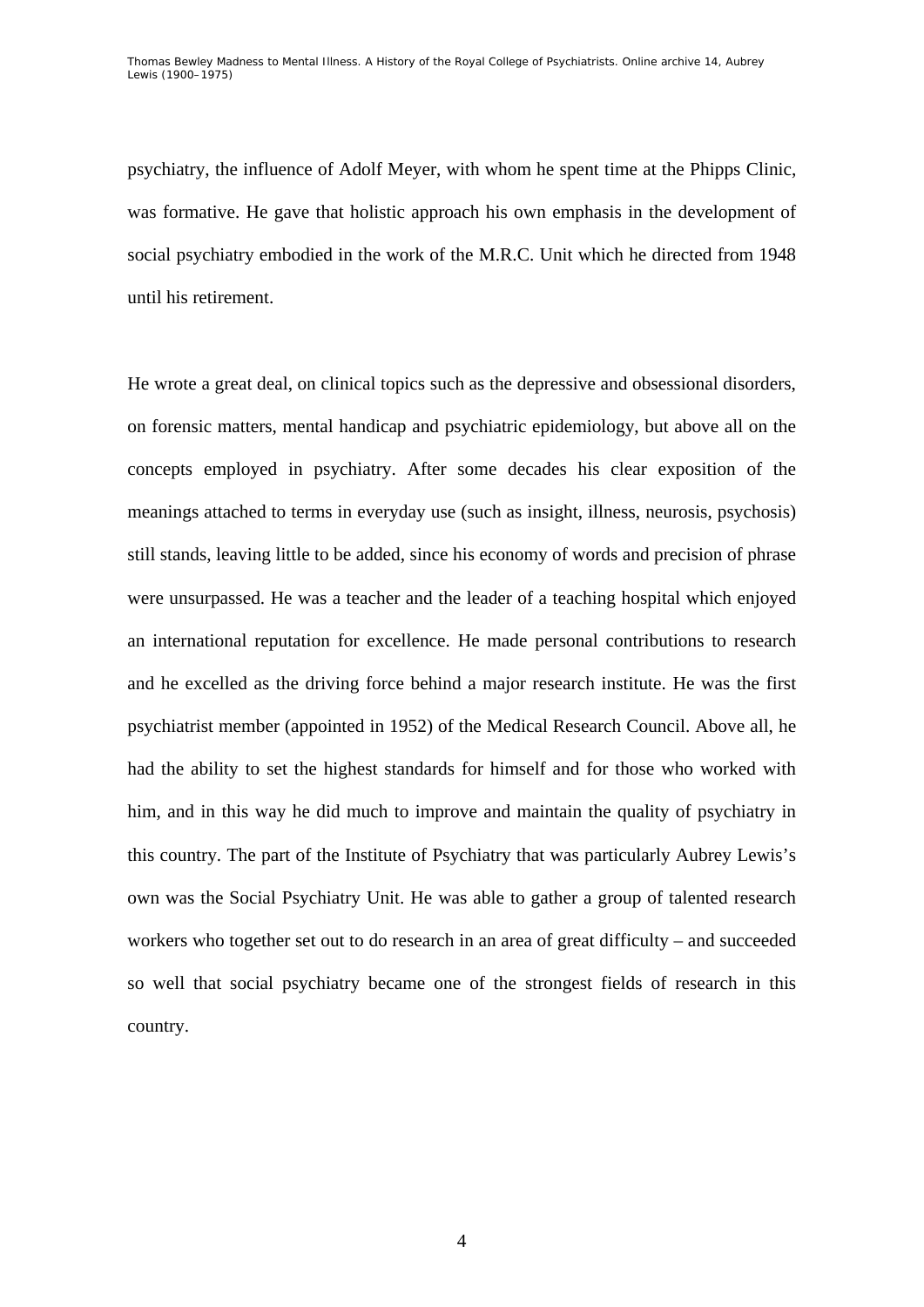psychiatry, the influence of Adolf Meyer, with whom he spent time at the Phipps Clinic, was formative. He gave that holistic approach his own emphasis in the development of social psychiatry embodied in the work of the M.R.C. Unit which he directed from 1948 until his retirement.

He wrote a great deal, on clinical topics such as the depressive and obsessional disorders, on forensic matters, mental handicap and psychiatric epidemiology, but above all on the concepts employed in psychiatry. After some decades his clear exposition of the meanings attached to terms in everyday use (such as insight, illness, neurosis, psychosis) still stands, leaving little to be added, since his economy of words and precision of phrase were unsurpassed. He was a teacher and the leader of a teaching hospital which enjoyed an international reputation for excellence. He made personal contributions to research and he excelled as the driving force behind a major research institute. He was the first psychiatrist member (appointed in 1952) of the Medical Research Council. Above all, he had the ability to set the highest standards for himself and for those who worked with him, and in this way he did much to improve and maintain the quality of psychiatry in this country. The part of the Institute of Psychiatry that was particularly Aubrey Lewis's own was the Social Psychiatry Unit. He was able to gather a group of talented research workers who together set out to do research in an area of great difficulty – and succeeded so well that social psychiatry became one of the strongest fields of research in this country.